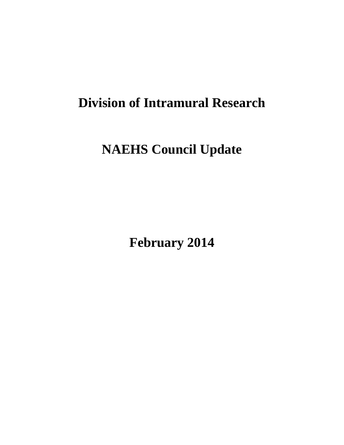# **Division of Intramural Research**

# **NAEHS Council Update**

**February 2014**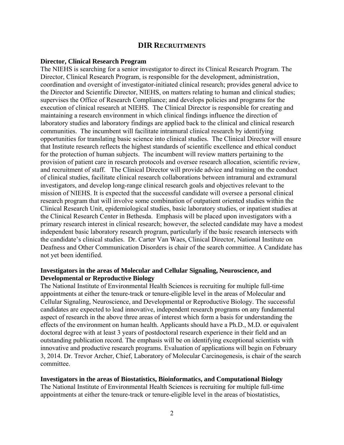## **DIR RECRUITMENTS**

#### **Director, Clinical Research Program**

The NIEHS is searching for a senior investigator to direct its Clinical Research Program. The Director, Clinical Research Program, is responsible for the development, administration, coordination and oversight of investigator-initiated clinical research; provides general advice to the Director and Scientific Director, NIEHS, on matters relating to human and clinical studies; supervises the Office of Research Compliance; and develops policies and programs for the execution of clinical research at NIEHS. The Clinical Director is responsible for creating and maintaining a research environment in which clinical findings influence the direction of laboratory studies and laboratory findings are applied back to the clinical and clinical research communities. The incumbent will facilitate intramural clinical research by identifying opportunities for translating basic science into clinical studies. The Clinical Director will ensure that Institute research reflects the highest standards of scientific excellence and ethical conduct for the protection of human subjects. The incumbent will review matters pertaining to the provision of patient care in research protocols and oversee research allocation, scientific review, and recruitment of staff. The Clinical Director will provide advice and training on the conduct of clinical studies, facilitate clinical research collaborations between intramural and extramural investigators, and develop long-range clinical research goals and objectives relevant to the mission of NIEHS. It is expected that the successful candidate will oversee a personal clinical research program that will involve some combination of outpatient oriented studies within the Clinical Research Unit, epidemiological studies, basic laboratory studies, or inpatient studies at the Clinical Research Center in Bethesda. Emphasis will be placed upon investigators with a primary research interest in clinical research; however, the selected candidate may have a modest independent basic laboratory research program, particularly if the basic research intersects with the candidate's clinical studies. Dr. Carter Van Waes, Clinical Director, National Institute on Deafness and Other Communication Disorders is chair of the search committee. A Candidate has not yet been identified.

#### **Investigators in the areas of Molecular and Cellular Signaling, Neuroscience, and Developmental or Reproductive Biology**

The National Institute of Environmental Health Sciences is recruiting for multiple full-time appointments at either the tenure-track or tenure-eligible level in the areas of Molecular and Cellular Signaling, Neuroscience, and Developmental or Reproductive Biology. The successful candidates are expected to lead innovative, independent research programs on any fundamental aspect of research in the above three areas of interest which form a basis for understanding the effects of the environment on human health. Applicants should have a Ph.D., M.D. or equivalent doctoral degree with at least 3 years of postdoctoral research experience in their field and an outstanding publication record. The emphasis will be on identifying exceptional scientists with innovative and productive research programs. Evaluation of applications will begin on February 3, 2014. Dr. Trevor Archer, Chief, Laboratory of Molecular Carcinogenesis, is chair of the search committee.

#### **Investigators in the areas of Biostatistics, Bioinformatics, and Computational Biology**

The National Institute of Environmental Health Sciences is recruiting for multiple full-time appointments at either the tenure-track or tenure-eligible level in the areas of biostatistics,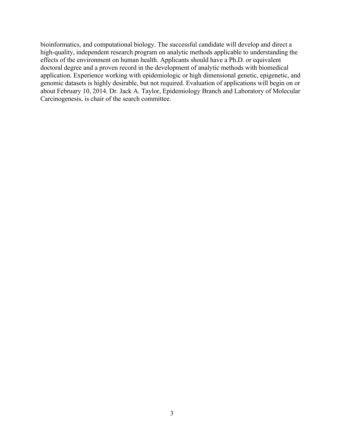bioinformatics, and computational biology. The successful candidate will develop and direct a high-quality, independent research program on analytic methods applicable to understanding the effects of the environment on human health. Applicants should have a Ph.D. or equivalent doctoral degree and a proven record in the development of analytic methods with biomedical application. Experience working with epidemiologic or high dimensional genetic, epigenetic, and genomic datasets is highly desirable, but not required. Evaluation of applications will begin on or about February 10, 2014. Dr. Jack A. Taylor, Epidemiology Branch and Laboratory of Molecular Carcinogenesis, is chair of the search committee.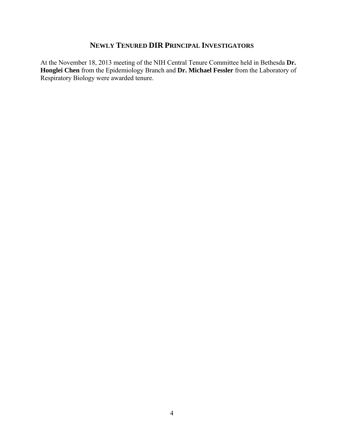## **NEWLY TENURED DIR PRINCIPAL INVESTIGATORS**

At the November 18, 2013 meeting of the NIH Central Tenure Committee held in Bethesda **Dr. Honglei Chen** from the Epidemiology Branch and **Dr. Michael Fessler** from the Laboratory of Respiratory Biology were awarded tenure.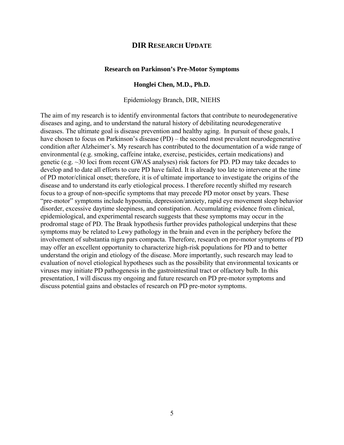### **DIR RESEARCH UPDATE**

#### **Research on Parkinson's Pre-Motor Symptoms**

#### **Honglei Chen, M.D., Ph.D.**

Epidemiology Branch, DIR, NIEHS

The aim of my research is to identify environmental factors that contribute to neurodegenerative diseases and aging, and to understand the natural history of debilitating neurodegenerative diseases. The ultimate goal is disease prevention and healthy aging. In pursuit of these goals, I have chosen to focus on Parkinson's disease (PD) – the second most prevalent neurodegenerative condition after Alzheimer's. My research has contributed to the documentation of a wide range of environmental (e.g. smoking, caffeine intake, exercise, pesticides, certain medications) and genetic (e.g. ~30 loci from recent GWAS analyses) risk factors for PD. PD may take decades to develop and to date all efforts to cure PD have failed. It is already too late to intervene at the time of PD motor/clinical onset; therefore, it is of ultimate importance to investigate the origins of the disease and to understand its early etiological process. I therefore recently shifted my research focus to a group of non-specific symptoms that may precede PD motor onset by years. These "pre-motor" symptoms include hyposmia, depression/anxiety, rapid eye movement sleep behavior disorder, excessive daytime sleepiness, and constipation. Accumulating evidence from clinical, epidemiological, and experimental research suggests that these symptoms may occur in the prodromal stage of PD. The Braak hypothesis further provides pathological underpins that these symptoms may be related to Lewy pathology in the brain and even in the periphery before the involvement of substantia nigra pars compacta. Therefore, research on pre-motor symptoms of PD may offer an excellent opportunity to characterize high-risk populations for PD and to better understand the origin and etiology of the disease. More importantly, such research may lead to evaluation of novel etiological hypotheses such as the possibility that environmental toxicants or viruses may initiate PD pathogenesis in the gastrointestinal tract or olfactory bulb. In this presentation, I will discuss my ongoing and future research on PD pre-motor symptoms and discuss potential gains and obstacles of research on PD pre-motor symptoms.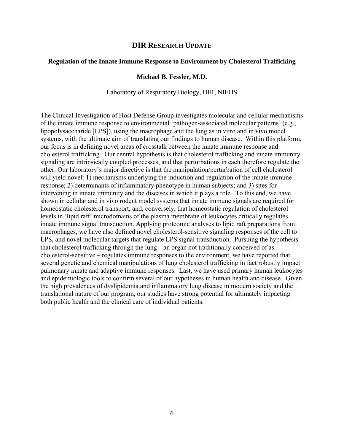## **DIR RESEARCH UPDATE**

#### **Regulation of the Innate Immune Response to Environment by Cholesterol Trafficking**

#### **Michael B. Fessler, M.D.**

#### Laboratory of Respiratory Biology, DIR, NIEHS

The Clinical Investigation of Host Defense Group investigates molecular and cellular mechanisms of the innate immune response to environmental 'pathogen-associated molecular patterns' (e.g., lipopolysaccharide [LPS]), using the macrophage and the lung as in vitro and in vivo model systems, with the ultimate aim of translating our findings to human disease. Within this platform, our focus is in defining novel areas of crosstalk between the innate immune response and cholesterol trafficking. Our central hypothesis is that cholesterol trafficking and innate immunity signaling are intrinsically coupled processes, and that perturbations in each therefore regulate the other. Our laboratory's major directive is that the manipulation/perturbation of cell cholesterol will yield novel: 1) mechanisms underlying the induction and regulation of the innate immune response; 2) determinants of inflammatory phenotype in human subjects; and 3) sites for intervening in innate immunity and the diseases in which it plays a role. To this end, we have shown in cellular and in vivo rodent model systems that innate immune signals are required for homeostatic cholesterol transport, and, conversely, that homeostatic regulation of cholesterol levels in 'lipid raft' microdomains of the plasma membrane of leukocytes critically regulates innate immune signal transduction. Applying proteomic analyses to lipid raft preparations from macrophages, we have also defined novel cholesterol-sensitive signaling responses of the cell to LPS, and novel molecular targets that regulate LPS signal transduction. Pursuing the hypothesis that cholesterol trafficking through the lung – an organ not traditionally conceived of as cholesterol-sensitive – regulates immune responses to the environment, we have reported that several genetic and chemical manipulations of lung cholesterol trafficking in fact robustly impact pulmonary innate and adaptive immune responses. Last, we have used primary human leukocytes and epidemiologic tools to confirm several of our hypotheses in human health and disease. Given the high prevalences of dyslipidemia and inflammatory lung disease in modern society and the translational nature of our program, our studies have strong potential for ultimately impacting both public health and the clinical care of individual patients.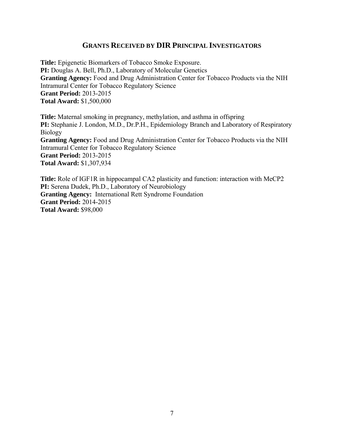## **GRANTS RECEIVED BY DIR PRINCIPAL INVESTIGATORS**

**Title:** Epigenetic Biomarkers of Tobacco Smoke Exposure. **PI:** Douglas A. Bell, Ph.D., Laboratory of Molecular Genetics **Granting Agency:** Food and Drug Administration Center for Tobacco Products via the NIH Intramural Center for Tobacco Regulatory Science **Grant Period:** 2013-2015 **Total Award:** \$1,500,000

**Title:** Maternal smoking in pregnancy, methylation, and asthma in offspring **PI:** Stephanie J. London, M.D., Dr.P.H., Epidemiology Branch and Laboratory of Respiratory Biology **Granting Agency:** Food and Drug Administration Center for Tobacco Products via the NIH Intramural Center for Tobacco Regulatory Science **Grant Period:** 2013-2015 **Total Award:** \$1,307,934

**Title:** Role of IGF1R in hippocampal CA2 plasticity and function: interaction with MeCP2 PI: Serena Dudek, Ph.D., Laboratory of Neurobiology **Granting Agency:** International Rett Syndrome Foundation **Grant Period:** 2014-2015 **Total Award:** \$98,000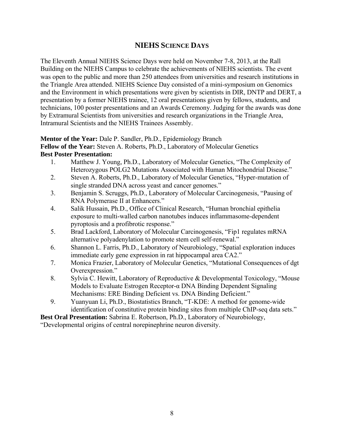## **NIEHS SCIENCE DAYS**

The Eleventh Annual NIEHS Science Days were held on November 7-8, 2013, at the Rall Building on the NIEHS Campus to celebrate the achievements of NIEHS scientists. The event was open to the public and more than 250 attendees from universities and research institutions in the Triangle Area attended. NIEHS Science Day consisted of a mini-symposium on Genomics and the Environment in which presentations were given by scientists in DIR, DNTP and DERT, a presentation by a former NIEHS trainee, 12 oral presentations given by fellows, students, and technicians, 100 poster presentations and an Awards Ceremony. Judging for the awards was done by Extramural Scientists from universities and research organizations in the Triangle Area, Intramural Scientists and the NIEHS Trainees Assembly.

## **Mentor of the Year:** Dale P. Sandler, Ph.D., Epidemiology Branch

**Fellow of the Year:** Steven A. Roberts, Ph.D., Laboratory of Molecular Genetics **Best Poster Presentation:** 

- 1. Matthew J. Young, Ph.D., Laboratory of Molecular Genetics, "The Complexity of Heterozygous POLG2 Mutations Associated with Human Mitochondrial Disease."
- 2. Steven A. Roberts, Ph.D., Laboratory of Molecular Genetics, "Hyper-mutation of single stranded DNA across yeast and cancer genomes."
- 3. Benjamin S. Scruggs, Ph.D., Laboratory of Molecular Carcinogenesis, "Pausing of RNA Polymerase II at Enhancers."
- 4. Salik Hussain, Ph.D., Office of Clinical Research, "Human bronchial epithelia exposure to multi-walled carbon nanotubes induces inflammasome-dependent pyroptosis and a profibrotic response."
- 5. Brad Lackford, Laboratory of Molecular Carcinogenesis, "Fip1 regulates mRNA alternative polyadenylation to promote stem cell self-renewal."
- 6. Shannon L. Farris, Ph.D., Laboratory of Neurobiology, "Spatial exploration induces immediate early gene expression in rat hippocampal area CA2."
- 7. Monica Frazier, Laboratory of Molecular Genetics, "Mutational Consequences of dgt Overexpression."
- 8. Sylvia C. Hewitt, Laboratory of Reproductive & Developmental Toxicology, "Mouse" Models to Evaluate Estrogen Receptor-α DNA Binding Dependent Signaling Mechanisms: ERE Binding Deficient vs. DNA Binding Deficient."
- 9. Yuanyuan Li, Ph.D., Biostatistics Branch, "T-KDE: A method for genome-wide identification of constitutive protein binding sites from multiple ChIP-seq data sets."

**Best Oral Presentation:** Sabrina E. Robertson, Ph.D., Laboratory of Neurobiology,

"Developmental origins of central norepinephrine neuron diversity.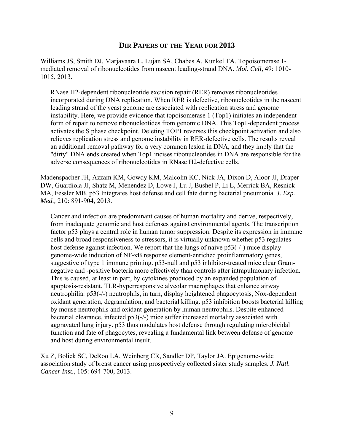## **DIR PAPERS OF THE YEAR FOR 2013**

Williams JS, Smith DJ, Marjavaara L, Lujan SA, Chabes A, Kunkel TA. Topoisomerase 1 mediated removal of ribonucleotides from nascent leading-strand DNA. *Mol. Cell,* 49: 1010 1015, 2013.

RNase H2-dependent ribonucleotide excision repair (RER) removes ribonucleotides incorporated during DNA replication. When RER is defective, ribonucleotides in the nascent leading strand of the yeast genome are associated with replication stress and genome instability. Here, we provide evidence that topoisomerase 1 (Top1) initiates an independent form of repair to remove ribonucleotides from genomic DNA. This Top1-dependent process activates the S phase checkpoint. Deleting TOP1 reverses this checkpoint activation and also relieves replication stress and genome instability in RER-defective cells. The results reveal an additional removal pathway for a very common lesion in DNA, and they imply that the "dirty" DNA ends created when Top1 incises ribonucleotides in DNA are responsible for the adverse consequences of ribonucleotides in RNase H2-defective cells.

Madenspacher JH, Azzam KM, Gowdy KM, Malcolm KC, Nick JA, Dixon D, Aloor JJ, Draper DW, Guardiola JJ, Shatz M, Menendez D, Lowe J, Lu J, Bushel P, Li L, Merrick BA, Resnick MA, Fessler MB. p53 Integrates host defense and cell fate during bacterial pneumonia. *J. Exp. Med.,* 210: 891-904, 2013.

Cancer and infection are predominant causes of human mortality and derive, respectively, from inadequate genomic and host defenses against environmental agents. The transcription factor p53 plays a central role in human tumor suppression. Despite its expression in immune cells and broad responsiveness to stressors, it is virtually unknown whether p53 regulates host defense against infection. We report that the lungs of naive p53(-/-) mice display genome-wide induction of NF-κB response element-enriched proinflammatory genes, suggestive of type 1 immune priming. p53-null and p53 inhibitor-treated mice clear Gramnegative and -positive bacteria more effectively than controls after intrapulmonary infection. This is caused, at least in part, by cytokines produced by an expanded population of apoptosis-resistant, TLR-hyperresponsive alveolar macrophages that enhance airway neutrophilia. p53(-/-) neutrophils, in turn, display heightened phagocytosis, Nox-dependent oxidant generation, degranulation, and bacterial killing. p53 inhibition boosts bacterial killing by mouse neutrophils and oxidant generation by human neutrophils. Despite enhanced bacterial clearance, infected p53(-/-) mice suffer increased mortality associated with aggravated lung injury. p53 thus modulates host defense through regulating microbicidal function and fate of phagocytes, revealing a fundamental link between defense of genome and host during environmental insult.

Xu Z, Bolick SC, DeRoo LA, Weinberg CR, Sandler DP, Taylor JA. Epigenome-wide association study of breast cancer using prospectively collected sister study samples. *J. Natl. Cancer Inst.,* 105: 694-700, 2013.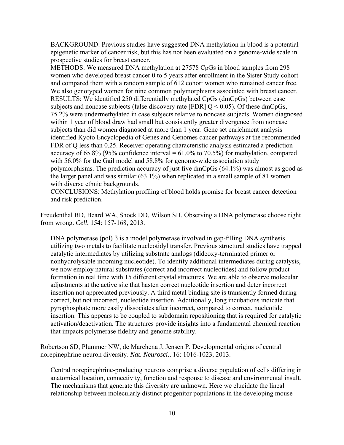BACKGROUND: Previous studies have suggested DNA methylation in blood is a potential epigenetic marker of cancer risk, but this has not been evaluated on a genome-wide scale in prospective studies for breast cancer.

METHODS: We measured DNA methylation at 27578 CpGs in blood samples from 298 women who developed breast cancer 0 to 5 years after enrollment in the Sister Study cohort and compared them with a random sample of 612 cohort women who remained cancer free. We also genotyped women for nine common polymorphisms associated with breast cancer. RESULTS: We identified 250 differentially methylated CpGs (dmCpGs) between case subjects and noncase subjects (false discovery rate [FDR]  $Q < 0.05$ ). Of these dmCpGs, 75.2% were undermethylated in case subjects relative to noncase subjects. Women diagnosed within 1 year of blood draw had small but consistently greater divergence from noncase subjects than did women diagnosed at more than 1 year. Gene set enrichment analysis identified Kyoto Encyclopedia of Genes and Genomes cancer pathways at the recommended FDR of Q less than 0.25. Receiver operating characteristic analysis estimated a prediction accuracy of  $65.8\%$  (95% confidence interval =  $61.0\%$  to 70.5%) for methylation, compared with 56.0% for the Gail model and 58.8% for genome-wide association study polymorphisms. The prediction accuracy of just five dmCpGs (64.1%) was almost as good as the larger panel and was similar (63.1%) when replicated in a small sample of 81 women with diverse ethnic backgrounds.

CONCLUSIONS: Methylation profiling of blood holds promise for breast cancer detection and risk prediction.

Freudenthal BD, Beard WA, Shock DD, Wilson SH. Observing a DNA polymerase choose right from wrong. *Cell*, 154: 157-168, 2013.

DNA polymerase (pol) β is a model polymerase involved in gap-filling DNA synthesis utilizing two metals to facilitate nucleotidyl transfer. Previous structural studies have trapped catalytic intermediates by utilizing substrate analogs (dideoxy-terminated primer or nonhydrolysable incoming nucleotide). To identify additional intermediates during catalysis, we now employ natural substrates (correct and incorrect nucleotides) and follow product formation in real time with 15 different crystal structures. We are able to observe molecular adjustments at the active site that hasten correct nucleotide insertion and deter incorrect insertion not appreciated previously. A third metal binding site is transiently formed during correct, but not incorrect, nucleotide insertion. Additionally, long incubations indicate that pyrophosphate more easily dissociates after incorrect, compared to correct, nucleotide insertion. This appears to be coupled to subdomain repositioning that is required for catalytic activation/deactivation. The structures provide insights into a fundamental chemical reaction that impacts polymerase fidelity and genome stability.

Robertson SD, Plummer NW, de Marchena J, Jensen P. Developmental origins of central norepinephrine neuron diversity. *Nat. Neurosci.,* 16: 1016-1023, 2013.

Central norepinephrine-producing neurons comprise a diverse population of cells differing in anatomical location, connectivity, function and response to disease and environmental insult. The mechanisms that generate this diversity are unknown. Here we elucidate the lineal relationship between molecularly distinct progenitor populations in the developing mouse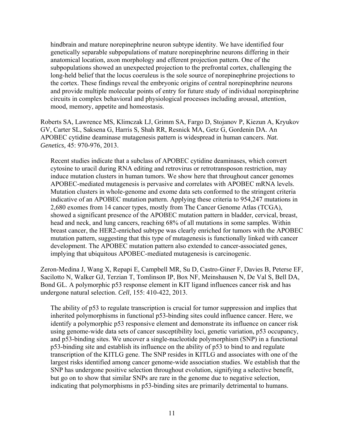hindbrain and mature norepinephrine neuron subtype identity. We have identified four genetically separable subpopulations of mature norepinephrine neurons differing in their anatomical location, axon morphology and efferent projection pattern. One of the subpopulations showed an unexpected projection to the prefrontal cortex, challenging the long-held belief that the locus coeruleus is the sole source of norepinephrine projections to the cortex. These findings reveal the embryonic origins of central norepinephrine neurons and provide multiple molecular points of entry for future study of individual norepinephrine circuits in complex behavioral and physiological processes including arousal, attention, mood, memory, appetite and homeostasis.

Roberts SA, Lawrence MS, Klimczak LJ, Grimm SA, Fargo D, Stojanov P, Kiezun A, Kryukov GV, Carter SL, Saksena G, Harris S, Shah RR, Resnick MA, Getz G, Gordenin DA. An APOBEC cytidine deaminase mutagenesis pattern is widespread in human cancers. *Nat. Genetics,* 45: 970-976, 2013.

Recent studies indicate that a subclass of APOBEC cytidine deaminases, which convert cytosine to uracil during RNA editing and retrovirus or retrotransposon restriction, may induce mutation clusters in human tumors. We show here that throughout cancer genomes APOBEC-mediated mutagenesis is pervasive and correlates with APOBEC mRNA levels. Mutation clusters in whole-genome and exome data sets conformed to the stringent criteria indicative of an APOBEC mutation pattern. Applying these criteria to 954,247 mutations in 2,680 exomes from 14 cancer types, mostly from The Cancer Genome Atlas (TCGA), showed a significant presence of the APOBEC mutation pattern in bladder, cervical, breast, head and neck, and lung cancers, reaching 68% of all mutations in some samples. Within breast cancer, the HER2-enriched subtype was clearly enriched for tumors with the APOBEC mutation pattern, suggesting that this type of mutagenesis is functionally linked with cancer development. The APOBEC mutation pattern also extended to cancer-associated genes, implying that ubiquitous APOBEC-mediated mutagenesis is carcinogenic.

Zeron-Medina J, Wang X, Repapi E, Campbell MR, Su D, Castro-Giner F, Davies B, Peterse EF, Sacilotto N, Walker GJ, Terzian T, Tomlinson IP, Box NF, Meinshausen N, De Val S, Bell DA, Bond GL. A polymorphic p53 response element in KIT ligand influences cancer risk and has undergone natural selection. *Cell*, 155: 410-422, 2013.

The ability of p53 to regulate transcription is crucial for tumor suppression and implies that inherited polymorphisms in functional p53-binding sites could influence cancer. Here, we identify a polymorphic p53 responsive element and demonstrate its influence on cancer risk using genome-wide data sets of cancer susceptibility loci, genetic variation, p53 occupancy, and p53-binding sites. We uncover a single-nucleotide polymorphism (SNP) in a functional p53-binding site and establish its influence on the ability of p53 to bind to and regulate transcription of the KITLG gene. The SNP resides in KITLG and associates with one of the largest risks identified among cancer genome-wide association studies. We establish that the SNP has undergone positive selection throughout evolution, signifying a selective benefit, but go on to show that similar SNPs are rare in the genome due to negative selection, indicating that polymorphisms in p53-binding sites are primarily detrimental to humans.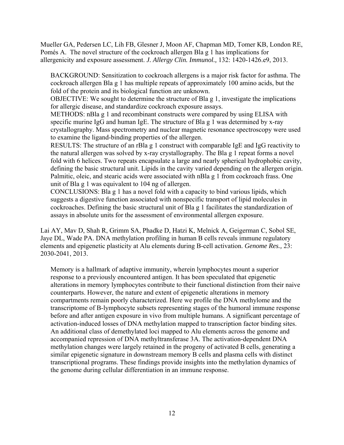Mueller GA, Pedersen LC, Lih FB, Glesner J, Moon AF, Chapman MD, Tomer KB, London RE, Pomés A. The novel structure of the cockroach allergen Bla g 1 has implications for allergenicity and exposure assessment. *J. Allergy Clin. Immunol.,* 132: 1420-1426.e9, 2013.

BACKGROUND: Sensitization to cockroach allergens is a major risk factor for asthma. The cockroach allergen Bla g 1 has multiple repeats of approximately 100 amino acids, but the fold of the protein and its biological function are unknown.

OBJECTIVE: We sought to determine the structure of Bla g 1, investigate the implications for allergic disease, and standardize cockroach exposure assays.

METHODS: nBla g 1 and recombinant constructs were compared by using ELISA with specific murine IgG and human IgE. The structure of Bla g 1 was determined by x-ray crystallography. Mass spectrometry and nuclear magnetic resonance spectroscopy were used to examine the ligand-binding properties of the allergen.

RESULTS: The structure of an rBla g 1 construct with comparable IgE and IgG reactivity to the natural allergen was solved by x-ray crystallography. The Bla g 1 repeat forms a novel fold with 6 helices. Two repeats encapsulate a large and nearly spherical hydrophobic cavity, defining the basic structural unit. Lipids in the cavity varied depending on the allergen origin. Palmitic, oleic, and stearic acids were associated with nBla g 1 from cockroach frass. One unit of Bla g 1 was equivalent to 104 ng of allergen.

CONCLUSIONS: Bla g 1 has a novel fold with a capacity to bind various lipids, which suggests a digestive function associated with nonspecific transport of lipid molecules in cockroaches. Defining the basic structural unit of Bla g 1 facilitates the standardization of assays in absolute units for the assessment of environmental allergen exposure.

Lai AY, Mav D, Shah R, Grimm SA, Phadke D, Hatzi K, Melnick A, Geigerman C, Sobol SE, Jaye DL, Wade PA. DNA methylation profiling in human B cells reveals immune regulatory elements and epigenetic plasticity at Alu elements during B-cell activation. *Genome Res.,* 23: 2030-2041, 2013.

Memory is a hallmark of adaptive immunity, wherein lymphocytes mount a superior response to a previously encountered antigen. It has been speculated that epigenetic alterations in memory lymphocytes contribute to their functional distinction from their naive counterparts. However, the nature and extent of epigenetic alterations in memory compartments remain poorly characterized. Here we profile the DNA methylome and the transcriptome of B-lymphocyte subsets representing stages of the humoral immune response before and after antigen exposure in vivo from multiple humans. A significant percentage of activation-induced losses of DNA methylation mapped to transcription factor binding sites. An additional class of demethylated loci mapped to Alu elements across the genome and accompanied repression of DNA methyltransferase 3A. The activation-dependent DNA methylation changes were largely retained in the progeny of activated B cells, generating a similar epigenetic signature in downstream memory B cells and plasma cells with distinct transcriptional programs. These findings provide insights into the methylation dynamics of the genome during cellular differentiation in an immune response.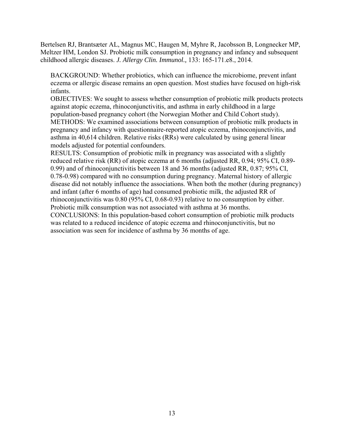Bertelsen RJ, Brantsæter AL, Magnus MC, Haugen M, Myhre R, Jacobsson B, Longnecker MP, Meltzer HM, London SJ. Probiotic milk consumption in pregnancy and infancy and subsequent childhood allergic diseases. *J. Allergy Clin. Immunol.,* 133: 165-171.e8., 2014.

BACKGROUND: Whether probiotics, which can influence the microbiome, prevent infant eczema or allergic disease remains an open question. Most studies have focused on high-risk infants.

OBJECTIVES: We sought to assess whether consumption of probiotic milk products protects against atopic eczema, rhinoconjunctivitis, and asthma in early childhood in a large population-based pregnancy cohort (the Norwegian Mother and Child Cohort study). METHODS: We examined associations between consumption of probiotic milk products in pregnancy and infancy with questionnaire-reported atopic eczema, rhinoconjunctivitis, and asthma in 40,614 children. Relative risks (RRs) were calculated by using general linear models adjusted for potential confounders.

RESULTS: Consumption of probiotic milk in pregnancy was associated with a slightly reduced relative risk (RR) of atopic eczema at 6 months (adjusted RR, 0.94; 95% CI, 0.89 0.99) and of rhinoconjunctivitis between 18 and 36 months (adjusted RR, 0.87; 95% CI, 0.78-0.98) compared with no consumption during pregnancy. Maternal history of allergic disease did not notably influence the associations. When both the mother (during pregnancy) and infant (after 6 months of age) had consumed probiotic milk, the adjusted RR of rhinoconjunctivitis was 0.80 (95% CI, 0.68-0.93) relative to no consumption by either. Probiotic milk consumption was not associated with asthma at 36 months.

CONCLUSIONS: In this population-based cohort consumption of probiotic milk products was related to a reduced incidence of atopic eczema and rhinoconjunctivitis, but no association was seen for incidence of asthma by 36 months of age.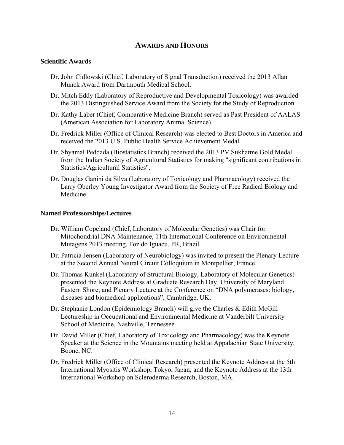## **AWARDS AND HONORS**

### **Scientific Awards**

- Dr. John Cidlowski (Chief, Laboratory of Signal Transduction) received the 2013 Allan Munck Award from Dartmouth Medical School.
- Dr. Mitch Eddy (Laboratory of Reproductive and Developmental Toxicology) was awarded the 2013 Distinguished Service Award from the Society for the Study of Reproduction.
- Dr. Kathy Laber (Chief, Comparative Medicine Branch) served as Past President of AALAS (American Association for Laboratory Animal Science).
- Dr. Fredrick Miller (Office of Clinical Research) was elected to Best Doctors in America and received the 2013 U.S. Public Health Service Achievement Medal.
- Dr. Shyamal Peddada (Biostatistics Branch) received the 2013 PV Sukhatme Gold Medal from the Indian Society of Agricultural Statistics for making "significant contributions in Statistics/Agricultural Statistics".
- Dr. Douglas Ganini da Silva (Laboratory of Toxicology and Pharmacology) received the Larry Oberley Young Investigator Award from the Society of Free Radical Biology and Medicine.

#### **Named Professorships/Lectures**

- Dr. William Copeland (Chief, Laboratory of Molecular Genetics) was Chair for Mitochondrial DNA Maintenance, 11th International Conference on Environmental Mutagens 2013 meeting, Foz do Iguacu, PR, Brazil.
- Dr. Patricia Jensen (Laboratory of Neurobiology) was invited to present the Plenary Lecture at the Second Annual Neural Circuit Colloquium in Montpellier, France.
- Dr. Thomas Kunkel (Laboratory of Structural Biology, Laboratory of Molecular Genetics) presented the Keynote Address at Graduate Research Day, University of Maryland Eastern Shore; and Plenary Lecture at the Conference on "DNA polymerases: biology, diseases and biomedical applications", Cambridge, UK.
- Dr. Stephanie London (Epidemiology Branch) will give the Charles & Edith McGill Lectureship in Occupational and Environmental Medicine at Vanderbilt University School of Medicine, Nashville, Tennessee.
- Dr. David Miller (Chief, Laboratory of Toxicology and Pharmacology) was the Keynote Speaker at the Science in the Mountains meeting held at Appalachian State University, Boone, NC.
- Dr. Fredrick Miller (Office of Clinical Research) presented the Keynote Address at the 5th International Myositis Workshop, Tokyo, Japan; and the Keynote Address at the 13th International Workshop on Scleroderma Research, Boston, MA.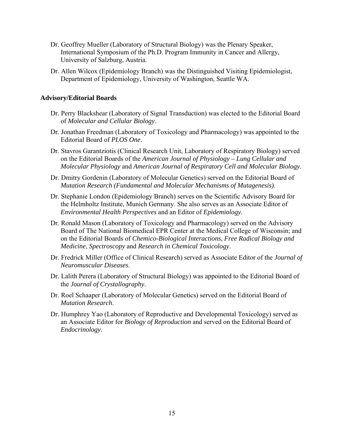- Dr. Geoffrey Mueller (Laboratory of Structural Biology) was the Plenary Speaker, International Symposium of the Ph.D. Program Immunity in Cancer and Allergy, University of Salzburg, Austria.
- Dr. Allen Wilcox (Epidemiology Branch) was the Distinguished Visiting Epidemiologist, Department of Epidemiology, University of Washington, Seattle WA.

#### **Advisory/Editorial Boards**

- Dr. Perry Blackshear (Laboratory of Signal Transduction) was elected to the Editorial Board of *Molecular and Cellular Biology*.
- Dr. Jonathan Freedman (Laboratory of Toxicology and Pharmacology) was appointed to the Editorial Board of *PLOS One*.
- Dr. Stavros Garantziotis (Clinical Research Unit, Laboratory of Respiratory Biology) served on the Editorial Boards of the *American Journal of Physiology – Lung Cellular and Molecular Physiology* and *American Journal of Respiratory Cell and Molecular Biology*.
- Dr. Dmitry Gordenin (Laboratory of Molecular Genetics) served on the Editorial Board of *Mutation Research (Fundamental and Molecular Mechanisms of Mutagenesis)*.
- Dr. Stephanie London (Epidemiology Branch) serves on the Scientific Advisory Board for the Helmholtz Institute, Munich Germany. She also serves as an Associate Editor of *Environmental Health Perspectives* and an Editor of *Epidemiology*.
- Dr. Ronald Mason (Laboratory of Toxicology and Pharmacology) served on the Advisory Board of The National Biomedical EPR Center at the Medical College of Wisconsin; and on the Editorial Boards of *Chemico-Biological Interactions*, *Free Radical Biology and Medicine*, *Spectroscopy* and *Research in Chemical Toxicology*.
- Dr. Fredrick Miller (Office of Clinical Research) served as Associate Editor of the *Journal of Neuromuscular Diseases*.
- Dr. Lalith Perera (Laboratory of Structural Biology) was appointed to the Editorial Board of the *Journal of Crystallography*.
- Dr. Roel Schaaper (Laboratory of Molecular Genetics) served on the Editorial Board of *Mutation Research*.
- Dr. Humphrey Yao (Laboratory of Reproductive and Developmental Toxicology) served as an Associate Editor for *Biology of Reproduction* and served on the Editorial Board of *Endocrinology*.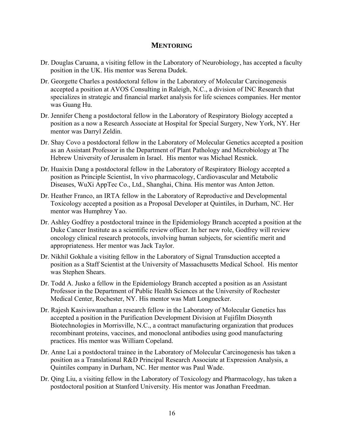### **MENTORING**

- Dr. Douglas Caruana, a visiting fellow in the Laboratory of Neurobiology, has accepted a faculty position in the UK. His mentor was Serena Dudek.
- Dr. Georgette Charles a postdoctoral fellow in the Laboratory of Molecular Carcinogenesis accepted a position at AVOS Consulting in Raleigh, N.C., a division of INC Research that specializes in strategic and financial market analysis for life sciences companies. Her mentor was Guang Hu.
- Dr. Jennifer Cheng a postdoctoral fellow in the Laboratory of Respiratory Biology accepted a position as a now a Research Associate at Hospital for Special Surgery, New York, NY. Her mentor was Darryl Zeldin.
- Dr. Shay Covo a postdoctoral fellow in the Laboratory of Molecular Genetics accepted a position as an Assistant Professor in the Department of Plant Pathology and Microbiology at The Hebrew University of Jerusalem in Israel. His mentor was Michael Resnick.
- Dr. Huaixin Dang a postdoctoral fellow in the Laboratory of Respiratory Biology accepted a position as Principle Scientist, In vivo pharmacology, Cardiovascular and Metabolic Diseases, WuXi AppTec Co., Ltd., Shanghai, China. His mentor was Anton Jetton.
- Dr. Heather Franco, an IRTA fellow in the Laboratory of Reproductive and Developmental Toxicology accepted a position as a Proposal Developer at Quintiles, in Durham, NC. Her mentor was Humphrey Yao.
- Dr. Ashley Godfrey a postdoctoral trainee in the Epidemiology Branch accepted a position at the Duke Cancer Institute as a scientific review officer. In her new role, Godfrey will review oncology clinical research protocols, involving human subjects, for scientific merit and appropriateness. Her mentor was Jack Taylor.
- Dr. Nikhil Gokhale a visiting fellow in the Laboratory of Signal Transduction accepted a position as a Staff Scientist at the University of Massachusetts Medical School. His mentor was Stephen Shears.
- Dr. Todd A. Jusko a fellow in the Epidemiology Branch accepted a position as an Assistant Professor in the Department of Public Health Sciences at the University of Rochester Medical Center, Rochester, NY. His mentor was Matt Longnecker.
- Dr. Rajesh Kasiviswanathan a research fellow in the Laboratory of Molecular Genetics has accepted a position in the Purification Development Division at Fujifilm Diosynth Biotechnologies in Morrisville, N.C., a contract manufacturing organization that produces recombinant proteins, vaccines, and monoclonal antibodies using good manufacturing practices. His mentor was William Copeland.
- Dr. Anne Lai a postdoctoral trainee in the Laboratory of Molecular Carcinogenesis has taken a position as a Translational R&D Principal Research Associate at Expression Analysis, a Quintiles company in Durham, NC. Her mentor was Paul Wade.
- Dr. Qing Liu, a visiting fellow in the Laboratory of Toxicology and Pharmacology, has taken a postdoctoral position at Stanford University. His mentor was Jonathan Freedman.